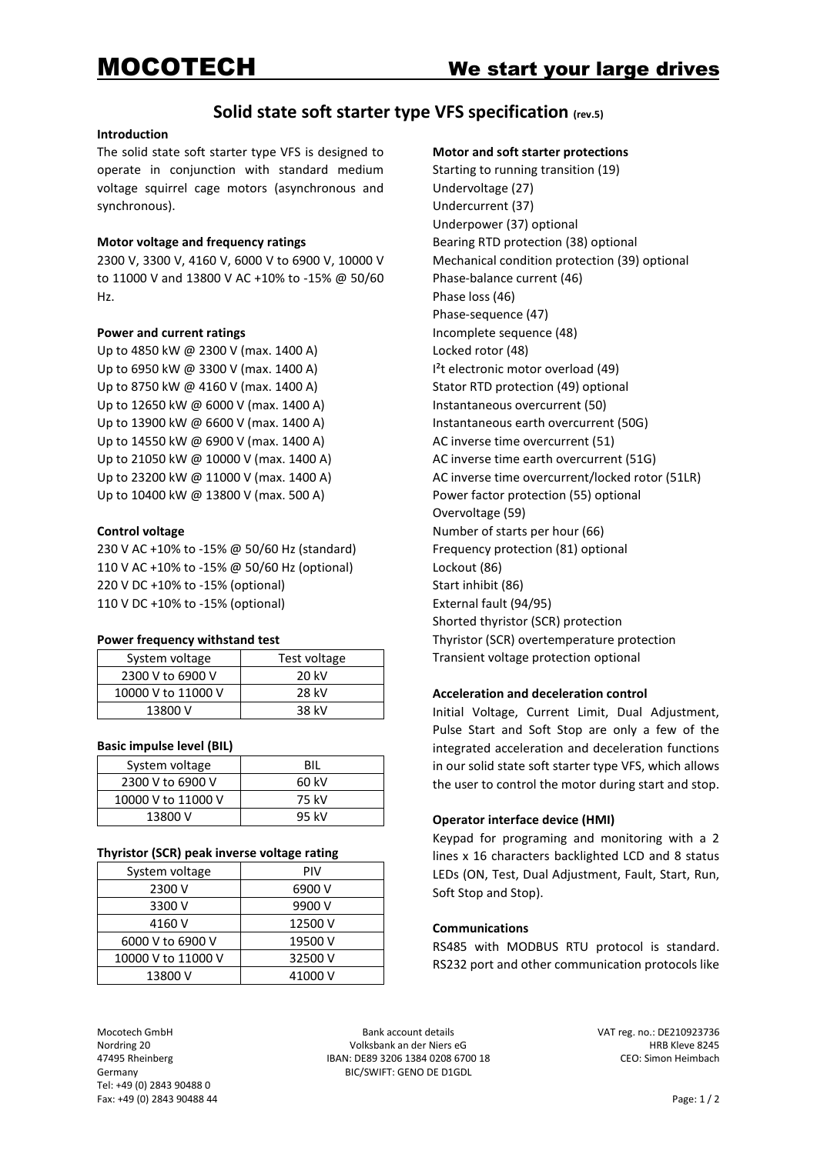# **Solid state soft starter type VFS specification (rev.5)**

#### **Introduction**

The solid state soft starter type VFS is designed to operate in conjunction with standard medium voltage squirrel cage motors (asynchronous and synchronous).

### **Motor voltage and frequency ratings**

2300 V, 3300 V, 4160 V, 6000 V to 6900 V, 10000 V to 11000 V and 13800 V AC +10% to -15% @ 50/60 Hz.

#### **Power and current ratings**

Up to 4850 kW @ 2300 V (max. 1400 A) Up to 6950 kW @ 3300 V (max. 1400 A) Up to 8750 kW @ 4160 V (max. 1400 A) Up to 12650 kW @ 6000 V (max. 1400 A) Up to 13900 kW @ 6600 V (max. 1400 A) Up to 14550 kW @ 6900 V (max. 1400 A) Up to 21050 kW @ 10000 V (max. 1400 A) Up to 23200 kW @ 11000 V (max. 1400 A) Up to 10400 kW @ 13800 V (max. 500 A)

#### **Control voltage**

230 V AC +10% to -15% @ 50/60 Hz (standard) 110 V AC +10% to -15% @ 50/60 Hz (optional) 220 V DC +10% to -15% (optional) 110 V DC +10% to -15% (optional)

#### **Power frequency withstand test**

| System voltage     | Test voltage |
|--------------------|--------------|
| 2300 V to 6900 V   | 20 kV        |
| 10000 V to 11000 V | 28 kV        |
| 13800 V            | 38 kV        |

#### **Basic impulse level (BIL)**

| System voltage     | <b>BIL</b> |
|--------------------|------------|
| 2300 V to 6900 V   | 60 kV      |
| 10000 V to 11000 V | 75 kV      |
| 13800 V            | 95 kV      |

#### **Thyristor (SCR) peak inverse voltage rating**

| System voltage     | <b>PIV</b> |
|--------------------|------------|
| 2300 V             | 6900 V     |
| 3300 V             | 9900 V     |
| 4160 V             | 12500 V    |
| 6000 V to 6900 V   | 19500 V    |
| 10000 V to 11000 V | 32500 V    |
| 13800 V            | 41000 V    |

#### **Motor and soft starter protections**

Starting to running transition (19) Undervoltage (27) Undercurrent (37) Underpower (37) optional Bearing RTD protection (38) optional Mechanical condition protection (39) optional Phase-balance current (46) Phase loss (46) Phase-sequence (47) Incomplete sequence (48) Locked rotor (48) I²t electronic motor overload (49) Stator RTD protection (49) optional Instantaneous overcurrent (50) Instantaneous earth overcurrent (50G) AC inverse time overcurrent (51) AC inverse time earth overcurrent (51G) AC inverse time overcurrent/locked rotor (51LR) Power factor protection (55) optional Overvoltage (59) Number of starts per hour (66) Frequency protection (81) optional Lockout (86) Start inhibit (86) External fault (94/95) Shorted thyristor (SCR) protection Thyristor (SCR) overtemperature protection Transient voltage protection optional

# **Acceleration and deceleration control**

Initial Voltage, Current Limit, Dual Adjustment, Pulse Start and Soft Stop are only a few of the integrated acceleration and deceleration functions in our solid state soft starter type VFS, which allows the user to control the motor during start and stop.

# **Operator interface device (HMI)**

Keypad for programing and monitoring with a 2 lines x 16 characters backlighted LCD and 8 status LEDs (ON, Test, Dual Adjustment, Fault, Start, Run, Soft Stop and Stop).

#### **Communications**

RS485 with MODBUS RTU protocol is standard. RS232 port and other communication protocols like

Tel: +49 (0) 2843 90488 0 Fax: +49 (0) 2843 90488 44 Page: 1 / 2

Mocotech GmbH Bank account details and the UAT reg. no.: DE210923736 Nordring 20 **IRB Kleve 8245** Volksbank an der Niers eG der Niers eG EXAS Rheinberg<br>47495 Rheinberg **HRB Kleve 8245** IBAN: DE89 3206 1384 0208 6700 18 CEO: Simon Heimbach IBAN: DE89 3206 1384 0208 6700 18 Germany BIC/SWIFT: GENO DE D1GDL